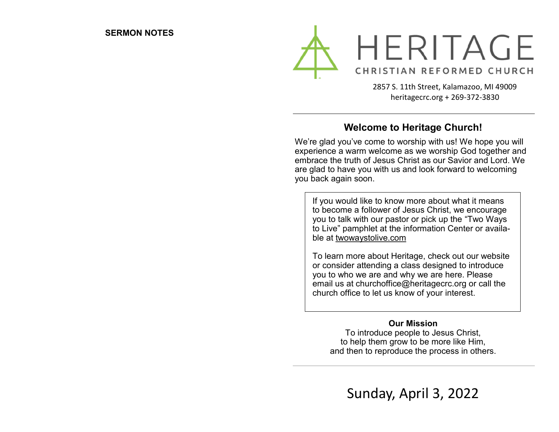

2857 S. 11th Street, Kalamazoo, MI 49009 heritagecrc.org + 269-372-3830

### **Welcome to Heritage Church!**

We're glad you've come to worship with us! We hope you will experience a warm welcome as we worship God together and embrace the truth of Jesus Christ as our Savior and Lord. We are glad to have you with us and look forward to welcoming you back again soon.

If you would like to know more about what it means to become a follower of Jesus Christ, we encourage you to talk with our pastor or pick up the "Two Ways to Live" pamphlet at the information Center or available at twowaystolive.com

To learn more about Heritage, check out our website or consider attending a class designed to introduce you to who we are and why we are here. Please email us at churchoffice@heritagecrc.org or call the church office to let us know of your interest.

#### **Our Mission**

To introduce people to Jesus Christ, to help them grow to be more like Him, and then to reproduce the process in others.

Sunday, April 3, 2022